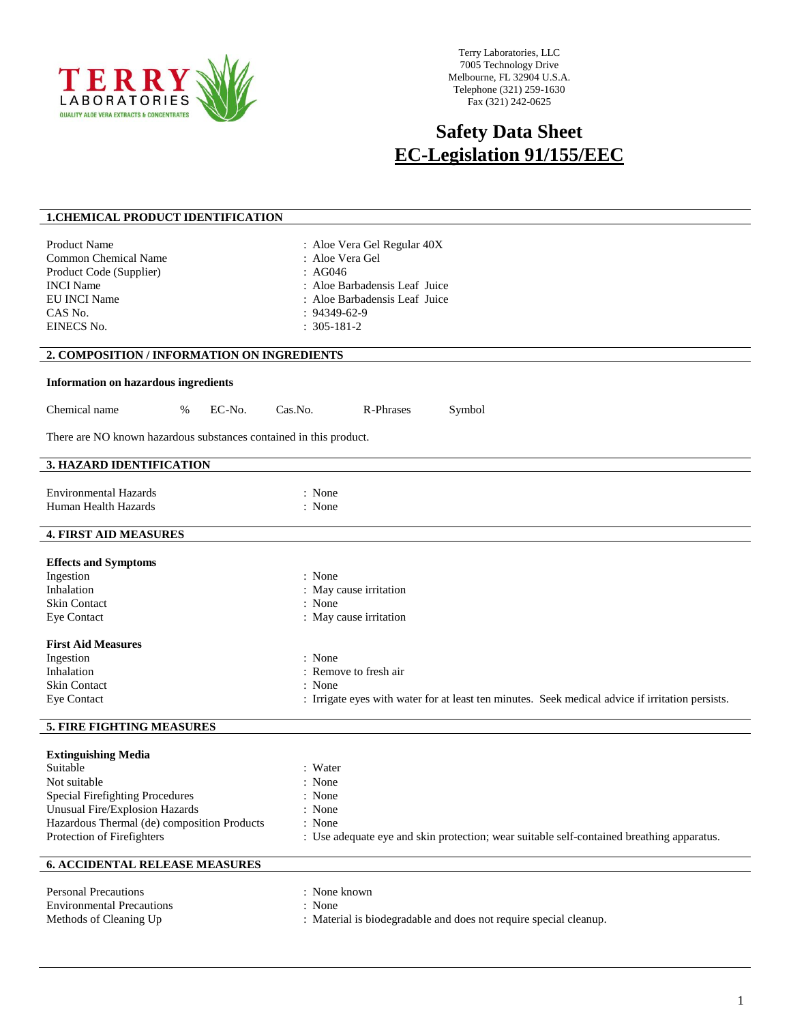

Terry Laboratories, LLC 7005 Technology Drive Melbourne, FL 32904 U.S.A. Telephone (321) 259-1630 Fax (321) 242-0625

## **Safety Data Sheet EC-Legislation 91/155/EEC**

| <b>1. CHEMICAL PRODUCT IDENTIFICATION</b>                                                                                                                                                                                                           |                                                                                                                                                                                                                       |
|-----------------------------------------------------------------------------------------------------------------------------------------------------------------------------------------------------------------------------------------------------|-----------------------------------------------------------------------------------------------------------------------------------------------------------------------------------------------------------------------|
| <b>Product Name</b><br><b>Common Chemical Name</b><br>Product Code (Supplier)<br><b>INCI</b> Name<br>EU INCI Name<br>CAS No.<br>EINECS No.                                                                                                          | : Aloe Vera Gel Regular 40X<br>: Aloe Vera Gel<br>:AG046<br>: Aloe Barbadensis Leaf Juice<br>: Aloe Barbadensis Leaf Juice<br>$: 94349 - 62 - 9$<br>$: 305 - 181 - 2$                                                 |
| 2. COMPOSITION / INFORMATION ON INGREDIENTS                                                                                                                                                                                                         |                                                                                                                                                                                                                       |
| <b>Information on hazardous ingredients</b>                                                                                                                                                                                                         |                                                                                                                                                                                                                       |
| Chemical name<br>EC-No.<br>%                                                                                                                                                                                                                        | Cas.No.<br>R-Phrases<br>Symbol                                                                                                                                                                                        |
| There are NO known hazardous substances contained in this product.                                                                                                                                                                                  |                                                                                                                                                                                                                       |
| 3. HAZARD IDENTIFICATION                                                                                                                                                                                                                            |                                                                                                                                                                                                                       |
| <b>Environmental Hazards</b><br>Human Health Hazards                                                                                                                                                                                                | : None<br>: None                                                                                                                                                                                                      |
| <b>4. FIRST AID MEASURES</b>                                                                                                                                                                                                                        |                                                                                                                                                                                                                       |
| <b>Effects and Symptoms</b><br>Ingestion<br>Inhalation<br><b>Skin Contact</b><br><b>Eye Contact</b><br><b>First Aid Measures</b><br>Ingestion<br>Inhalation<br><b>Skin Contact</b><br>Eye Contact                                                   | : None<br>: May cause irritation<br>: None<br>: May cause irritation<br>: None<br>: Remove to fresh air<br>: None<br>: Irrigate eyes with water for at least ten minutes. Seek medical advice if irritation persists. |
|                                                                                                                                                                                                                                                     |                                                                                                                                                                                                                       |
| 5. FIRE FIGHTING MEASURES<br><b>Extinguishing Media</b><br>Suitable<br>Not suitable<br><b>Special Firefighting Procedures</b><br><b>Unusual Fire/Explosion Hazards</b><br>Hazardous Thermal (de) composition Products<br>Protection of Firefighters | : Water<br>: None<br>: None<br>: None<br>: None<br>: Use adequate eye and skin protection; wear suitable self-contained breathing apparatus.                                                                          |
|                                                                                                                                                                                                                                                     |                                                                                                                                                                                                                       |
| <b>6. ACCIDENTAL RELEASE MEASURES</b>                                                                                                                                                                                                               |                                                                                                                                                                                                                       |
| <b>Personal Precautions</b><br><b>Environmental Precautions</b><br>Methods of Cleaning Up                                                                                                                                                           | : None known<br>: None<br>: Material is biodegradable and does not require special cleanup.                                                                                                                           |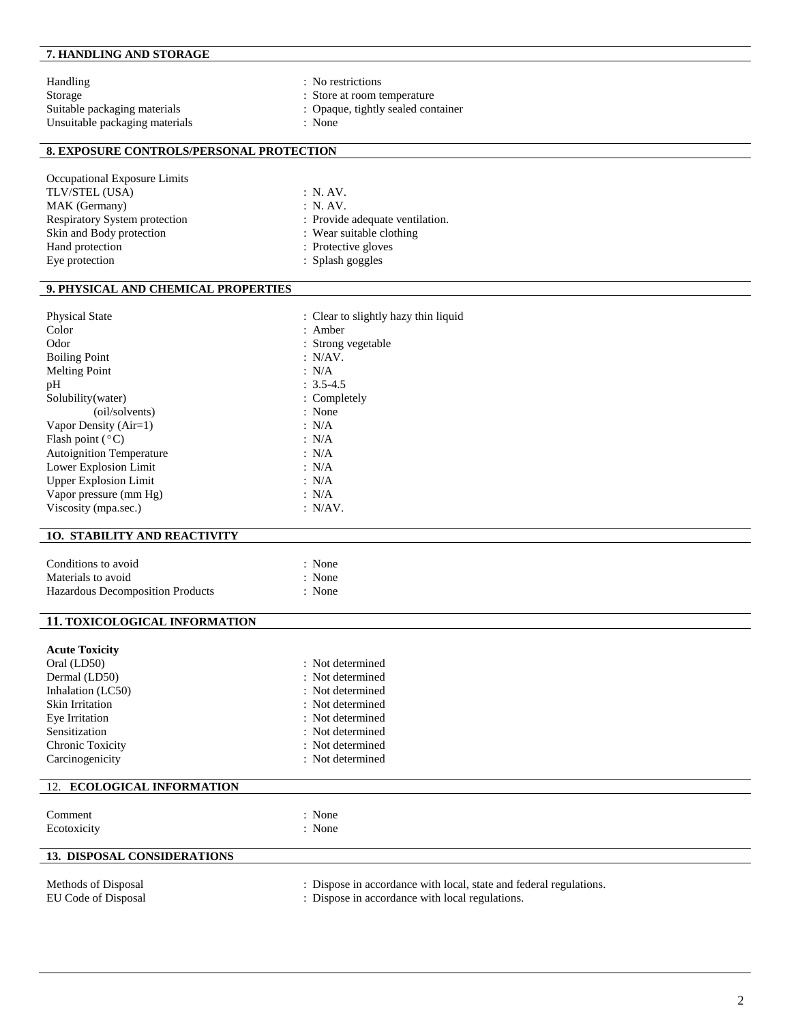### **7. HANDLING AND STORAGE**

Handling : No restrictions Storage : Store at room temperature : Suitable packaging materials  $\qquad \qquad$  : Opaque, tightly sealed container Unsuitable packaging materials  $\qquad \qquad$  : None Unsuitable packaging materials

- 
- 
- 

## **8. EXPOSURE CONTROLS/PERSONAL PROTECTION**

| Occupational Exposure Limits         |                                 |
|--------------------------------------|---------------------------------|
| TLV/STEL (USA)                       | : N. AV.                        |
| MAK (Germany)                        | : N. AV.                        |
| <b>Respiratory System protection</b> | : Provide adequate ventilation. |
| Skin and Body protection             | : Wear suitable clothing        |
| Hand protection                      | : Protective gloves             |
| Eye protection                       | : Splash goggles                |
|                                      |                                 |

#### **9. PHYSICAL AND CHEMICAL PROPERTIES**

| <b>Physical State</b>           | : Clear to slightly hazy thin liquid |
|---------------------------------|--------------------------------------|
| Color                           | $:$ Amber                            |
| Odor                            | : Strong vegetable                   |
| <b>Boiling Point</b>            | : N/AV.                              |
| <b>Melting Point</b>            | : N/A                                |
| pH                              | $: 3.5 - 4.5$                        |
| Solubility (water)              | : Completely                         |
| (oil/solvents)                  | : None                               |
| Vapor Density $(Air=1)$         | : $N/A$                              |
| Flash point $(^{\circ}C)$       | : N/A                                |
| <b>Autoignition Temperature</b> | : N/A                                |
| Lower Explosion Limit           | : N/A                                |
| <b>Upper Explosion Limit</b>    | : N/A                                |
| Vapor pressure (mm Hg)          | : N/A                                |
| Viscosity (mpa.sec.)            | : N/AV.                              |
|                                 |                                      |

#### **1O. STABILITY AND REACTIVITY**

| Conditions to avoid              | $\therefore$ None |
|----------------------------------|-------------------|
| Materials to avoid               | $\therefore$ None |
| Hazardous Decomposition Products | : None            |

#### **11. TOXICOLOGICAL INFORMATION**

| <b>Acute Toxicity</b> |                  |
|-----------------------|------------------|
| Oral (LD50)           | : Not determined |
| Dermal (LD50)         | : Not determined |
| Inhalation (LC50)     | : Not determined |
| Skin Irritation       | : Not determined |
| Eye Irritation        | : Not determined |
| Sensitization         | : Not determined |
| Chronic Toxicity      | : Not determined |
| Carcinogenicity       | : Not determined |
|                       |                  |

# 12. **ECOLOGICAL INFORMATION** Comment : None Ecotoxicity : None **13. DISPOSAL CONSIDERATIONS**

- Methods of Disposal **interval in the U.S. A. S. A. S. A. S. A. S. A. S. A. S. A. S. A. S. A. S. A. S. A. S. A. S. A. S. A. S. A. S. A. S. A. S. A. S. A. S. A. S. A. S. A. S. A. S. A. S. A. S. A. S. A. S. A. S. A. S. A. S.**
- EU Code of Disposal : Dispose in accordance with local regulations.